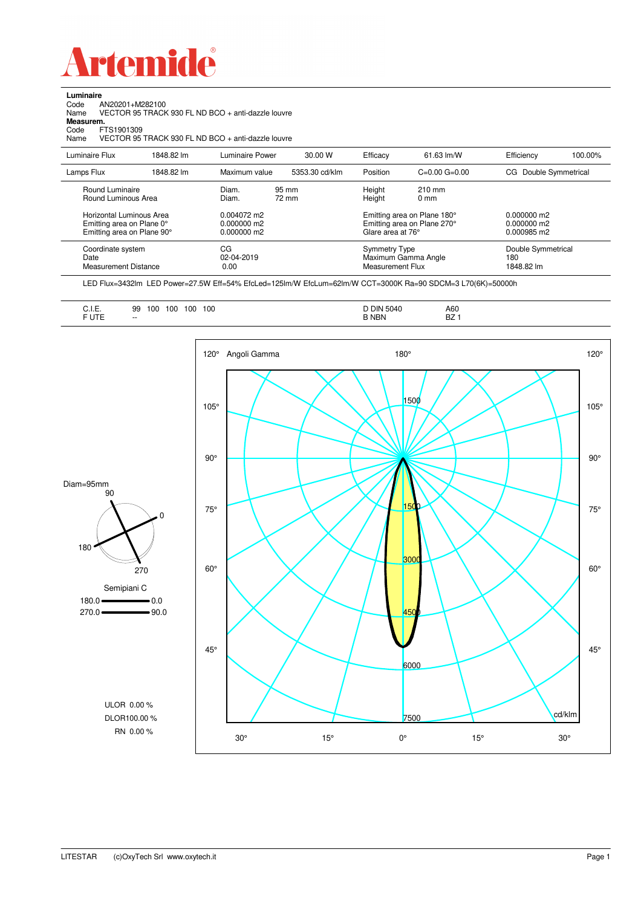

**Luminaire**

| AN20201+M282100<br>Code<br>Name<br>Measurem.<br>FTS1901309<br>Code<br>Name          |            | VECTOR 95 TRACK 930 FL ND BCO + anti-dazzle louvre<br>VECTOR 95 TRACK 930 FL ND BCO + anti-dazzle louvre |                |                                                 |                                                            |                                             |         |
|-------------------------------------------------------------------------------------|------------|----------------------------------------------------------------------------------------------------------|----------------|-------------------------------------------------|------------------------------------------------------------|---------------------------------------------|---------|
| Luminaire Flux                                                                      | 1848.82 lm | Luminaire Power                                                                                          | 30.00 W        | Efficacy                                        | $61.63$ $\text{Im}/\text{W}$                               | Efficiency                                  | 100.00% |
| Lamps Flux                                                                          | 1848.82 lm | Maximum value                                                                                            | 5353.30 cd/klm | Position                                        | $C=0.00$ $G=0.00$                                          | CG Double Symmetrical                       |         |
| Round Luminaire<br>Round Luminous Area                                              |            | Diam.<br>Diam.                                                                                           | 95 mm<br>72 mm | Height<br>Height                                | $210 \text{ mm}$<br>$0 \text{ mm}$                         |                                             |         |
| Horizontal Luminous Area<br>Emitting area on Plane 0°<br>Emitting area on Plane 90° |            | 0.004072 m2<br>0.000000 m2<br>0.000000 m2                                                                |                | Glare area at 76°                               | Emitting area on Plane 180°<br>Emitting area on Plane 270° | $0.000000$ m2<br>0.000000 m2<br>0.000985 m2 |         |
| Coordinate system<br>Date<br><b>Measurement Distance</b>                            |            | CG<br>02-04-2019<br>0.00                                                                                 |                | <b>Symmetry Type</b><br><b>Measurement Flux</b> | Maximum Gamma Angle                                        | Double Symmetrical<br>180<br>1848.82 lm     |         |

LED Flux=3432lm LED Power=27.5W Eff=54% EfcLed=125lm/W EfcLum=62lm/W CCT=3000K Ra=90 SDCM=3 L70(6K)=50000h